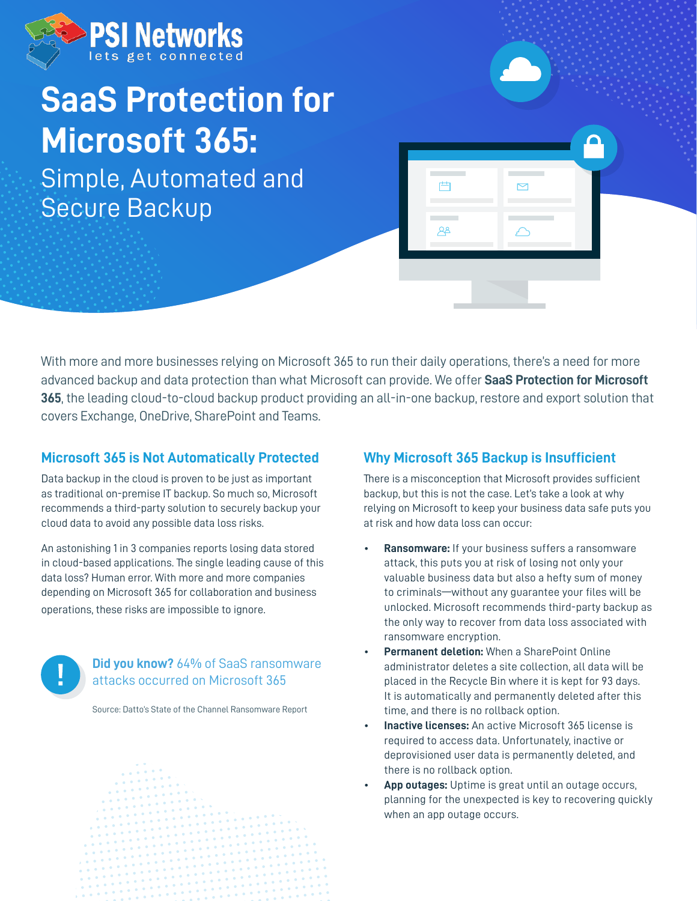

# **SaaS Protection for Microsoft 365:**

Simple, Automated and Secure Backup

With more and more businesses relying on Microsoft 365 to run their daily operations, there's a need for more advanced backup and data protection than what Microsoft can provide. We offer **SaaS Protection for Microsoft 365**, the leading cloud-to-cloud backup product providing an all-in-one backup, restore and export solution that covers Exchange, OneDrive, SharePoint and Teams.

# **Microsoft 365 is Not Automatically Protected**

Data backup in the cloud is proven to be just as important as traditional on-premise IT backup. So much so, Microsoft recommends a third-party solution to securely backup your cloud data to avoid any possible data loss risks.

An astonishing 1 in 3 companies reports losing data stored in cloud-based applications. The single leading cause of this data loss? Human error. With more and more companies depending on Microsoft 365 for collaboration and business operations, these risks are impossible to ignore.



#### **Did you know?** 64% of SaaS ransomware attacks occurred on Microsoft 365

Source: Datto's State of the Channel Ransomware Report



# **Why Microsoft 365 Backup is Insufficient**

芦

 $A^2$ 

There is a misconception that Microsoft provides sufficient backup, but this is not the case. Let's take a look at why relying on Microsoft to keep your business data safe puts you at risk and how data loss can occur:

- **Ransomware:** If your business suffers a ransomware attack, this puts you at risk of losing not only your valuable business data but also a hefty sum of money to criminals—without any guarantee your files will be unlocked. Microsoft recommends third-party backup as the only way to recover from data loss associated with ransomware encryption.
- **Permanent deletion:** When a SharePoint Online administrator deletes a site collection, all data will be placed in the Recycle Bin where it is kept for 93 days. It is automatically and permanently deleted after this time, and there is no rollback option.
- **Inactive licenses:** An active Microsoft 365 license is required to access data. Unfortunately, inactive or deprovisioned user data is permanently deleted, and there is no rollback option.
- **App outages:** Uptime is great until an outage occurs, planning for the unexpected is key to recovering quickly when an app outage occurs.